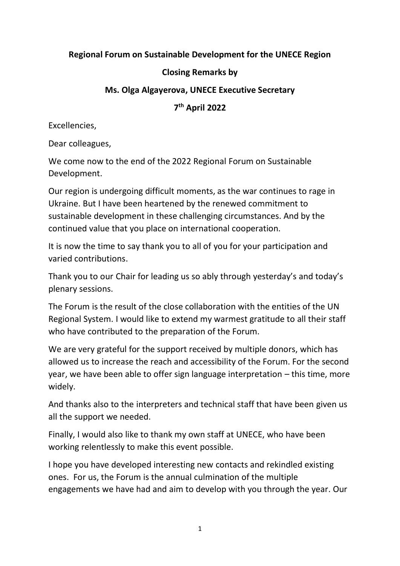## **Regional Forum on Sustainable Development for the UNECE Region**

## **Closing Remarks by**

## **Ms. Olga Algayerova, UNECE Executive Secretary**

**7 th April 2022**

Excellencies,

Dear colleagues,

We come now to the end of the 2022 Regional Forum on Sustainable Development.

Our region is undergoing difficult moments, as the war continues to rage in Ukraine. But I have been heartened by the renewed commitment to sustainable development in these challenging circumstances. And by the continued value that you place on international cooperation.

It is now the time to say thank you to all of you for your participation and varied contributions.

Thank you to our Chair for leading us so ably through yesterday's and today's plenary sessions.

The Forum is the result of the close collaboration with the entities of the UN Regional System. I would like to extend my warmest gratitude to all their staff who have contributed to the preparation of the Forum.

We are very grateful for the support received by multiple donors, which has allowed us to increase the reach and accessibility of the Forum. For the second year, we have been able to offer sign language interpretation – this time, more widely.

And thanks also to the interpreters and technical staff that have been given us all the support we needed.

Finally, I would also like to thank my own staff at UNECE, who have been working relentlessly to make this event possible.

I hope you have developed interesting new contacts and rekindled existing ones. For us, the Forum is the annual culmination of the multiple engagements we have had and aim to develop with you through the year. Our